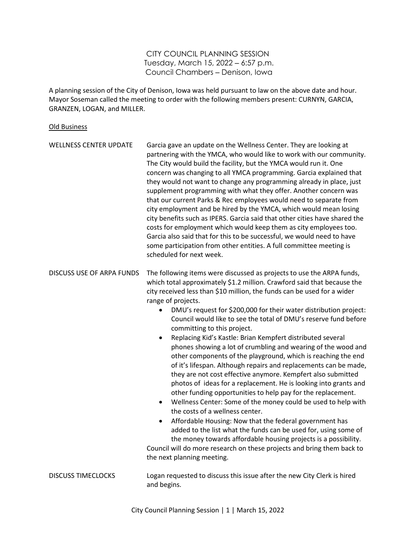CITY COUNCIL PLANNING SESSION Tuesday, March 15, 2022 ‒ 6:57 p.m. Council Chambers ‒ Denison, Iowa

A planning session of the City of Denison, Iowa was held pursuant to law on the above date and hour. Mayor Soseman called the meeting to order with the following members present: CURNYN, GARCIA, GRANZEN, LOGAN, and MILLER.

## Old Business

| <b>WELLNESS CENTER UPDATE</b> | Garcia gave an update on the Wellness Center. They are looking at<br>partnering with the YMCA, who would like to work with our community.<br>The City would build the facility, but the YMCA would run it. One<br>concern was changing to all YMCA programming. Garcia explained that<br>they would not want to change any programming already in place, just<br>supplement programming with what they offer. Another concern was<br>that our current Parks & Rec employees would need to separate from<br>city employment and be hired by the YMCA, which would mean losing<br>city benefits such as IPERS. Garcia said that other cities have shared the<br>costs for employment which would keep them as city employees too.<br>Garcia also said that for this to be successful, we would need to have<br>some participation from other entities. A full committee meeting is<br>scheduled for next week.                                                                                                                                                                                                                                                                                                                                                                                                                                          |
|-------------------------------|-------------------------------------------------------------------------------------------------------------------------------------------------------------------------------------------------------------------------------------------------------------------------------------------------------------------------------------------------------------------------------------------------------------------------------------------------------------------------------------------------------------------------------------------------------------------------------------------------------------------------------------------------------------------------------------------------------------------------------------------------------------------------------------------------------------------------------------------------------------------------------------------------------------------------------------------------------------------------------------------------------------------------------------------------------------------------------------------------------------------------------------------------------------------------------------------------------------------------------------------------------------------------------------------------------------------------------------------------------|
| DISCUSS USE OF ARPA FUNDS     | The following items were discussed as projects to use the ARPA funds,<br>which total approximately \$1.2 million. Crawford said that because the<br>city received less than \$10 million, the funds can be used for a wider<br>range of projects.<br>$\bullet$<br>DMU's request for \$200,000 for their water distribution project:<br>Council would like to see the total of DMU's reserve fund before<br>committing to this project.<br>Replacing Kid's Kastle: Brian Kempfert distributed several<br>$\bullet$<br>phones showing a lot of crumbling and wearing of the wood and<br>other components of the playground, which is reaching the end<br>of it's lifespan. Although repairs and replacements can be made,<br>they are not cost effective anymore. Kempfert also submitted<br>photos of ideas for a replacement. He is looking into grants and<br>other funding opportunities to help pay for the replacement.<br>Wellness Center: Some of the money could be used to help with<br>$\bullet$<br>the costs of a wellness center.<br>Affordable Housing: Now that the federal government has<br>added to the list what the funds can be used for, using some of<br>the money towards affordable housing projects is a possibility.<br>Council will do more research on these projects and bring them back to<br>the next planning meeting. |
| <b>DISCUSS TIMECLOCKS</b>     | Logan requested to discuss this issue after the new City Clerk is hired<br>and begins.                                                                                                                                                                                                                                                                                                                                                                                                                                                                                                                                                                                                                                                                                                                                                                                                                                                                                                                                                                                                                                                                                                                                                                                                                                                                |